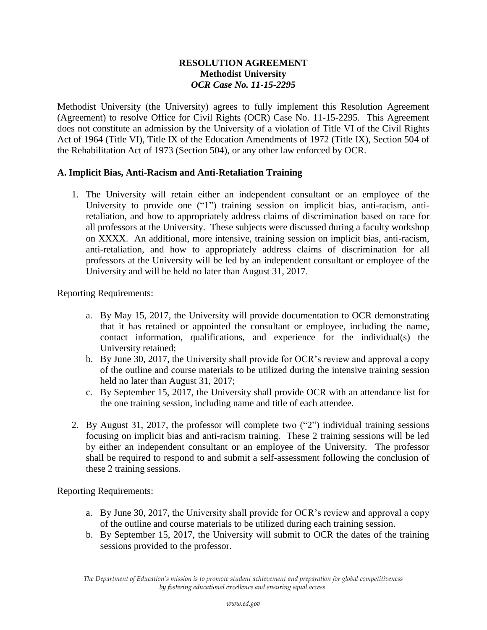## **RESOLUTION AGREEMENT Methodist University**  *OCR Case No. 11-15-2295*

Methodist University (the University) agrees to fully implement this Resolution Agreement (Agreement) to resolve Office for Civil Rights (OCR) Case No. 11-15-2295. This Agreement does not constitute an admission by the University of a violation of Title VI of the Civil Rights Act of 1964 (Title VI), Title IX of the Education Amendments of 1972 (Title IX), Section 504 of the Rehabilitation Act of 1973 (Section 504), or any other law enforced by OCR.

## **A. Implicit Bias, Anti-Racism and Anti-Retaliation Training**

1. The University will retain either an independent consultant or an employee of the University to provide one ("1") training session on implicit bias, anti-racism, antiretaliation, and how to appropriately address claims of discrimination based on race for all professors at the University. These subjects were discussed during a faculty workshop on XXXX. An additional, more intensive, training session on implicit bias, anti-racism, anti-retaliation, and how to appropriately address claims of discrimination for all professors at the University will be led by an independent consultant or employee of the University and will be held no later than August 31, 2017.

Reporting Requirements:

- a. By May 15, 2017, the University will provide documentation to OCR demonstrating that it has retained or appointed the consultant or employee, including the name, contact information, qualifications, and experience for the individual(s) the University retained;
- b. By June 30, 2017, the University shall provide for OCR's review and approval a copy of the outline and course materials to be utilized during the intensive training session held no later than August 31, 2017;
- c. By September 15, 2017, the University shall provide OCR with an attendance list for the one training session, including name and title of each attendee.
- 2. By August 31, 2017, the professor will complete two ("2") individual training sessions focusing on implicit bias and anti-racism training. These 2 training sessions will be led by either an independent consultant or an employee of the University. The professor shall be required to respond to and submit a self-assessment following the conclusion of these 2 training sessions.

Reporting Requirements:

- a. By June 30, 2017, the University shall provide for OCR's review and approval a copy of the outline and course materials to be utilized during each training session.
- b. By September 15, 2017, the University will submit to OCR the dates of the training sessions provided to the professor.

*The Department of Education's mission is to promote student achievement and preparation for global competitiveness by fostering educational excellence and ensuring equal access.*